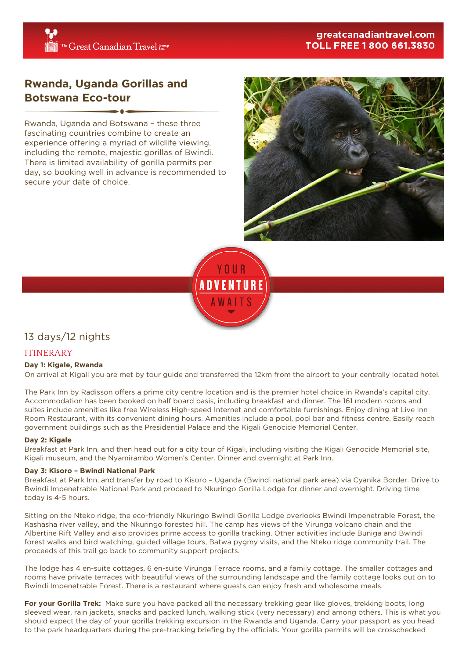# **Rwanda, Uganda Gorillas and Botswana Eco-tour**

Rwanda, Uganda and Botswana – these three fascinating countries combine to create an experience offering a myriad of wildlife viewing, including the remote, majestic gorillas of Bwindi. There is limited availability of gorilla permits per day, so booking well in advance is recommended to secure your date of choice.





# 13 days/12 nights

# ITINERARY

# **Day 1: Kigale, Rwanda**

On arrival at Kigali you are met by tour guide and transferred the 12km from the airport to your centrally located hotel.

The Park Inn by Radisson offers a prime city centre location and is the premier hotel choice in Rwanda's capital city. Accommodation has been booked on half board basis, including breakfast and dinner. The 161 modern rooms and suites include amenities like free Wireless High-speed Internet and comfortable furnishings. Enjoy dining at Live Inn Room Restaurant, with its convenient dining hours. Amenities include a pool, pool bar and fitness centre. Easily reach government buildings such as the Presidential Palace and the Kigali Genocide Memorial Center.

### **Day 2: Kigale**

Breakfast at Park Inn, and then head out for a city tour of Kigali, including visiting the Kigali Genocide Memorial site, Kigali museum, and the Nyamirambo Women's Center. Dinner and overnight at Park Inn.

### **Day 3: Kisoro – Bwindi National Park**

Breakfast at Park Inn, and transfer by road to Kisoro – Uganda (Bwindi national park area) via Cyanika Border. Drive to Bwindi Impenetrable National Park and proceed to Nkuringo Gorilla Lodge for dinner and overnight. Driving time today is 4-5 hours.

Sitting on the Nteko ridge, the eco-friendly Nkuringo Bwindi Gorilla Lodge overlooks Bwindi Impenetrable Forest, the Kashasha river valley, and the Nkuringo forested hill. The camp has views of the Virunga volcano chain and the Albertine Rift Valley and also provides prime access to gorilla tracking. Other activities include Buniga and Bwindi forest walks and bird watching, guided village tours, Batwa pygmy visits, and the Nteko ridge community trail. The proceeds of this trail go back to community support projects.

The lodge has 4 en-suite cottages, 6 en-suite Virunga Terrace rooms, and a family cottage. The smaller cottages and rooms have private terraces with beautiful views of the surrounding landscape and the family cottage looks out on to Bwindi Impenetrable Forest. There is a restaurant where guests can enjoy fresh and wholesome meals.

**For your Gorilla Trek:** Make sure you have packed all the necessary trekking gear like gloves, trekking boots, long sleeved wear, rain jackets, snacks and packed lunch, walking stick (very necessary) and among others. This is what you should expect the day of your gorilla trekking excursion in the Rwanda and Uganda. Carry your passport as you head to the park headquarters during the pre-tracking briefing by the officials. Your gorilla permits will be crosschecked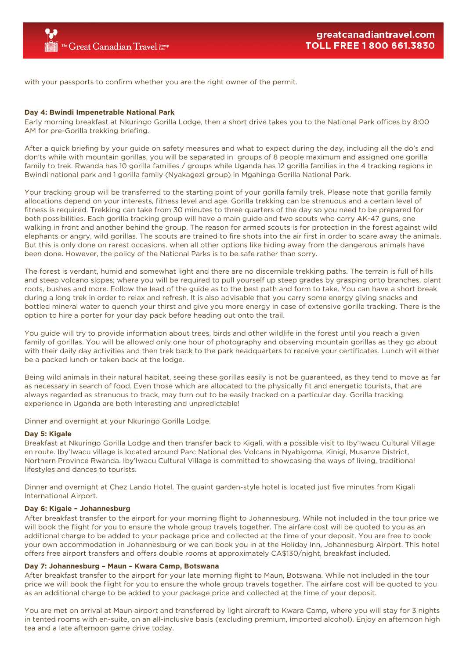with your passports to confirm whether you are the right owner of the permit.

### **Day 4: Bwindi Impenetrable National Park**

Early morning breakfast at Nkuringo Gorilla Lodge, then a short drive takes you to the National Park offices by 8:00 AM for pre-Gorilla trekking briefing.

After a quick briefing by your guide on safety measures and what to expect during the day, including all the do's and don'ts while with mountain gorillas, you will be separated in groups of 8 people maximum and assigned one gorilla family to trek. Rwanda has 10 gorilla families / groups while Uganda has 12 gorilla families in the 4 tracking regions in Bwindi national park and 1 gorilla family (Nyakagezi group) in Mgahinga Gorilla National Park.

Your tracking group will be transferred to the starting point of your gorilla family trek. Please note that gorilla family allocations depend on your interests, fitness level and age. Gorilla trekking can be strenuous and a certain level of fitness is required. Trekking can take from 30 minutes to three quarters of the day so you need to be prepared for both possibilities. Each gorilla tracking group will have a main guide and two scouts who carry AK-47 guns, one walking in front and another behind the group. The reason for armed scouts is for protection in the forest against wild elephants or angry, wild gorillas. The scouts are trained to fire shots into the air first in order to scare away the animals. But this is only done on rarest occasions. when all other options like hiding away from the dangerous animals have been done. However, the policy of the National Parks is to be safe rather than sorry.

The forest is verdant, humid and somewhat light and there are no discernible trekking paths. The terrain is full of hills and steep volcano slopes; where you will be required to pull yourself up steep grades by grasping onto branches, plant roots, bushes and more. Follow the lead of the guide as to the best path and form to take. You can have a short break during a long trek in order to relax and refresh. It is also advisable that you carry some energy giving snacks and bottled mineral water to quench your thirst and give you more energy in case of extensive gorilla tracking. There is the option to hire a porter for your day pack before heading out onto the trail.

You guide will try to provide information about trees, birds and other wildlife in the forest until you reach a given family of gorillas. You will be allowed only one hour of photography and observing mountain gorillas as they go about with their daily day activities and then trek back to the park headquarters to receive your certificates. Lunch will either be a packed lunch or taken back at the lodge.

Being wild animals in their natural habitat, seeing these gorillas easily is not be guaranteed, as they tend to move as far as necessary in search of food. Even those which are allocated to the physically fit and energetic tourists, that are always regarded as strenuous to track, may turn out to be easily tracked on a particular day. Gorilla tracking experience in Uganda are both interesting and unpredictable!

Dinner and overnight at your Nkuringo Gorilla Lodge.

#### **Day 5: Kigale**

Breakfast at Nkuringo Gorilla Lodge and then transfer back to Kigali, with a possible visit to Iby'Iwacu Cultural Village en route. Iby'Iwacu village is located around Parc National des Volcans in Nyabigoma, Kinigi, Musanze District, Northern Province Rwanda. Iby'Iwacu Cultural Village is committed to showcasing the ways of living, traditional lifestyles and dances to tourists.

Dinner and overnight at Chez Lando Hotel. The quaint garden-style hotel is located just five minutes from Kigali International Airport.

#### **Day 6: Kigale – Johannesburg**

After breakfast transfer to the airport for your morning flight to Johannesburg. While not included in the tour price we will book the flight for you to ensure the whole group travels together. The airfare cost will be quoted to you as an additional charge to be added to your package price and collected at the time of your deposit. You are free to book your own accommodation in Johannesburg or we can book you in at the Holiday Inn, Johannesburg Airport. This hotel offers free airport transfers and offers double rooms at approximately CA\$130/night, breakfast included.

#### **Day 7: Johannesburg – Maun – Kwara Camp, Botswana**

After breakfast transfer to the airport for your late morning flight to Maun, Botswana. While not included in the tour price we will book the flight for you to ensure the whole group travels together. The airfare cost will be quoted to you as an additional charge to be added to your package price and collected at the time of your deposit.

You are met on arrival at Maun airport and transferred by light aircraft to Kwara Camp, where you will stay for 3 nights in tented rooms with en-suite, on an all-inclusive basis (excluding premium, imported alcohol). Enjoy an afternoon high tea and a late afternoon game drive today.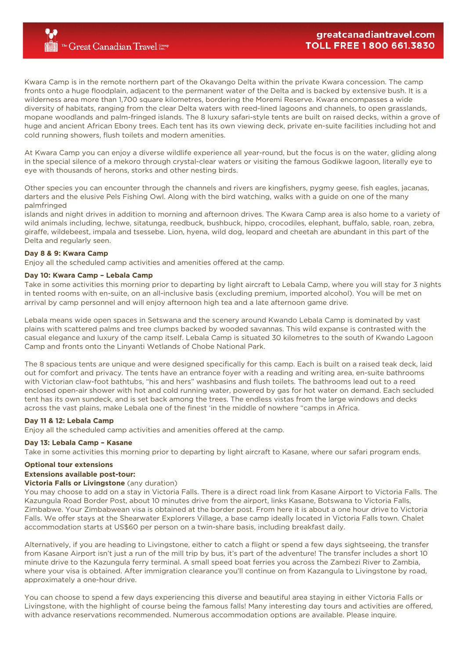Kwara Camp is in the remote northern part of the Okavango Delta within the private Kwara concession. The camp fronts onto a huge floodplain, adjacent to the permanent water of the Delta and is backed by extensive bush. It is a wilderness area more than 1,700 square kilometres, bordering the Moremi Reserve. Kwara encompasses a wide diversity of habitats, ranging from the clear Delta waters with reed-lined lagoons and channels, to open grasslands, mopane woodlands and palm-fringed islands. The 8 luxury safari-style tents are built on raised decks, within a grove of huge and ancient African Ebony trees. Each tent has its own viewing deck, private en-suite facilities including hot and cold running showers, flush toilets and modern amenities.

At Kwara Camp you can enjoy a diverse wildlife experience all year-round, but the focus is on the water, gliding along in the special silence of a mekoro through crystal-clear waters or visiting the famous Godikwe lagoon, literally eye to eye with thousands of herons, storks and other nesting birds.

Other species you can encounter through the channels and rivers are kingfishers, pygmy geese, fish eagles, jacanas, darters and the elusive Pels Fishing Owl. Along with the bird watching, walks with a guide on one of the many palmfringed

islands and night drives in addition to morning and afternoon drives. The Kwara Camp area is also home to a variety of wild animals including, lechwe, sitatunga, reedbuck, bushbuck, hippo, crocodiles, elephant, buffalo, sable, roan, zebra, giraffe, wildebeest, impala and tsessebe. Lion, hyena, wild dog, leopard and cheetah are abundant in this part of the Delta and regularly seen.

### **Day 8 & 9: Kwara Camp**

Enjoy all the scheduled camp activities and amenities offered at the camp.

### **Day 10: Kwara Camp – Lebala Camp**

Take in some activities this morning prior to departing by light aircraft to Lebala Camp, where you will stay for 3 nights in tented rooms with en-suite, on an all-inclusive basis (excluding premium, imported alcohol). You will be met on arrival by camp personnel and will enjoy afternoon high tea and a late afternoon game drive.

Lebala means wide open spaces in Setswana and the scenery around Kwando Lebala Camp is dominated by vast plains with scattered palms and tree clumps backed by wooded savannas. This wild expanse is contrasted with the casual elegance and luxury of the camp itself. Lebala Camp is situated 30 kilometres to the south of Kwando Lagoon Camp and fronts onto the Linyanti Wetlands of Chobe National Park.

The 8 spacious tents are unique and were designed specifically for this camp. Each is built on a raised teak deck, laid out for comfort and privacy. The tents have an entrance foyer with a reading and writing area, en-suite bathrooms with Victorian claw-foot bathtubs, "his and hers" washbasins and flush toilets. The bathrooms lead out to a reed enclosed open-air shower with hot and cold running water, powered by gas for hot water on demand. Each secluded tent has its own sundeck, and is set back among the trees. The endless vistas from the large windows and decks across the vast plains, make Lebala one of the finest 'in the middle of nowhere "camps in Africa.

### **Day 11 & 12: Lebala Camp**

Enjoy all the scheduled camp activities and amenities offered at the camp.

### **Day 13: Lebala Camp – Kasane**

Take in some activities this morning prior to departing by light aircraft to Kasane, where our safari program ends.

# **Optional tour extensions**

# **Extensions available post-tour:**

### **Victoria Falls or Livingstone** (any duration)

You may choose to add on a stay in Victoria Falls. There is a direct road link from Kasane Airport to Victoria Falls. The Kazungula Road Border Post, about 10 minutes drive from the airport, links Kasane, Botswana to Victoria Falls, Zimbabwe. Your Zimbabwean visa is obtained at the border post. From here it is about a one hour drive to Victoria Falls. We offer stays at the Shearwater Explorers Village, a base camp ideally located in Victoria Falls town. Chalet accommodation starts at US\$60 per person on a twin-share basis, including breakfast daily.

Alternatively, if you are heading to Livingstone, either to catch a flight or spend a few days sightseeing, the transfer from Kasane Airport isn't just a run of the mill trip by bus, it's part of the adventure! The transfer includes a short 10 minute drive to the Kazungula ferry terminal. A small speed boat ferries you across the Zambezi River to Zambia, where your visa is obtained. After immigration clearance you'll continue on from Kazangula to Livingstone by road, approximately a one-hour drive.

You can choose to spend a few days experiencing this diverse and beautiful area staying in either Victoria Falls or Livingstone, with the highlight of course being the famous falls! Many interesting day tours and activities are offered, with advance reservations recommended. Numerous accommodation options are available. Please inquire.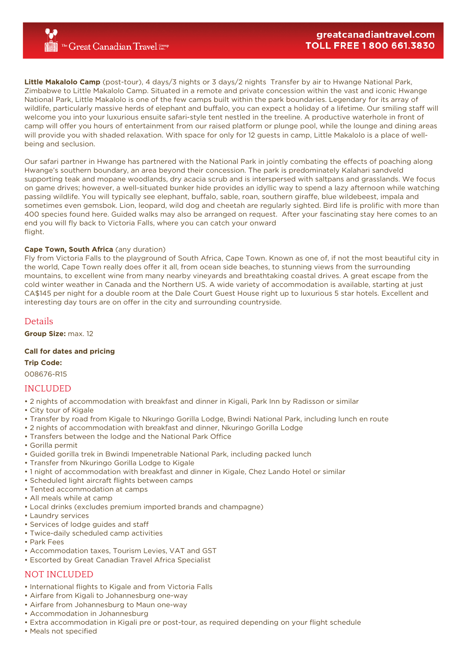**Little Makalolo Camp** (post-tour), 4 days/3 nights or 3 days/2 nights Transfer by air to Hwange National Park, Zimbabwe to Little Makalolo Camp. Situated in a remote and private concession within the vast and iconic Hwange National Park, Little Makalolo is one of the few camps built within the park boundaries. Legendary for its array of wildlife, particularly massive herds of elephant and buffalo, you can expect a holiday of a lifetime. Our smiling staff will welcome you into your luxurious ensuite safari-style tent nestled in the treeline. A productive waterhole in front of camp will offer you hours of entertainment from our raised platform or plunge pool, while the lounge and dining areas will provide you with shaded relaxation. With space for only for 12 guests in camp, Little Makalolo is a place of wellbeing and seclusion.

Our safari partner in Hwange has partnered with the National Park in jointly combating the effects of poaching along Hwange's southern boundary, an area beyond their concession. The park is predominately Kalahari sandveld supporting teak and mopane woodlands, dry acacia scrub and is interspersed with saltpans and grasslands. We focus on game drives; however, a well-situated bunker hide provides an idyllic way to spend a lazy afternoon while watching passing wildlife. You will typically see elephant, buffalo, sable, roan, southern giraffe, blue wildebeest, impala and sometimes even gemsbok. Lion, leopard, wild dog and cheetah are regularly sighted. Bird life is prolific with more than 400 species found here. Guided walks may also be arranged on request. After your fascinating stay here comes to an end you will fly back to Victoria Falls, where you can catch your onward flight.

### **Cape Town, South Africa** (any duration)

Fly from Victoria Falls to the playground of South Africa, Cape Town. Known as one of, if not the most beautiful city in the world, Cape Town really does offer it all, from ocean side beaches, to stunning views from the surrounding mountains, to excellent wine from many nearby vineyards and breathtaking coastal drives. A great escape from the cold winter weather in Canada and the Northern US. A wide variety of accommodation is available, starting at just CA\$145 per night for a double room at the Dale Court Guest House right up to luxurious 5 star hotels. Excellent and interesting day tours are on offer in the city and surrounding countryside.

### Details

**Group Size:** max. 12

### **Call for dates and pricing**

**Trip Code:**

008676-R15

# INCLUDED

• 2 nights of accommodation with breakfast and dinner in Kigali, Park Inn by Radisson or similar

- City tour of Kigale
- Transfer by road from Kigale to Nkuringo Gorilla Lodge, Bwindi National Park, including lunch en route
- 2 nights of accommodation with breakfast and dinner, Nkuringo Gorilla Lodge
- Transfers between the lodge and the National Park Office
- Gorilla permit
- Guided gorilla trek in Bwindi Impenetrable National Park, including packed lunch
- Transfer from Nkuringo Gorilla Lodge to Kigale
- 1 night of accommodation with breakfast and dinner in Kigale, Chez Lando Hotel or similar
- Scheduled light aircraft flights between camps
- Tented accommodation at camps
- All meals while at camp
- Local drinks (excludes premium imported brands and champagne)
- Laundry services
- Services of lodge guides and staff
- Twice-daily scheduled camp activities
- Park Fees
- Accommodation taxes, Tourism Levies, VAT and GST
- Escorted by Great Canadian Travel Africa Specialist

# NOT INCLUDED

- International flights to Kigale and from Victoria Falls
- Airfare from Kigali to Johannesburg one-way
- Airfare from Johannesburg to Maun one-way
- Accommodation in Johannesburg
- Extra accommodation in Kigali pre or post-tour, as required depending on your flight schedule
- Meals not specified